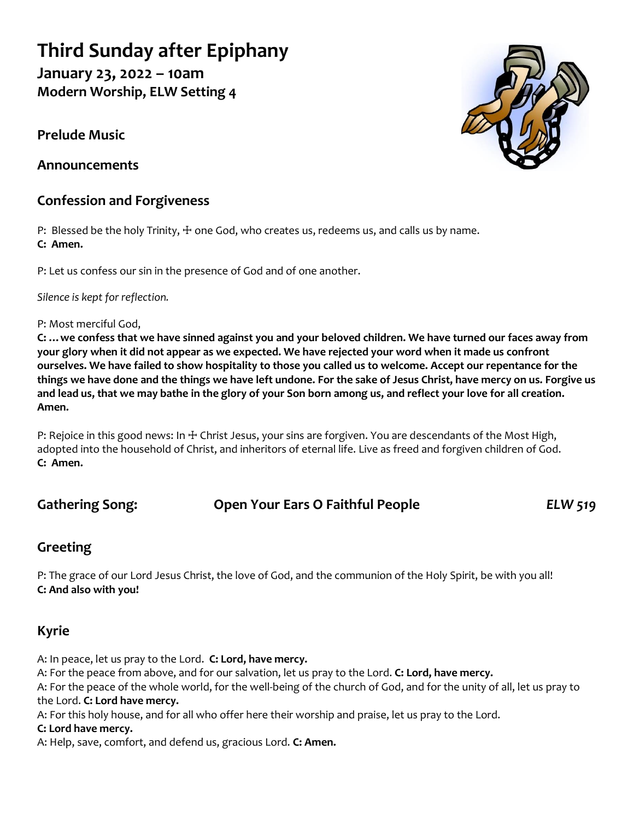# **Third Sunday after Epiphany**

**January 23, 2022 – 10am Modern Worship, ELW Setting 4**

**Prelude Music**

**Announcements**

### **Confession and Forgiveness**

P: Blessed be the holy Trinity,  $\pm$  one God, who creates us, redeems us, and calls us by name. **C: Amen.**

P: Let us confess our sin in the presence of God and of one another.

*Silence is kept for reflection.*

#### P: Most merciful God,

**C: …we confess that we have sinned against you and your beloved children. We have turned our faces away from your glory when it did not appear as we expected. We have rejected your word when it made us confront ourselves. We have failed to show hospitality to those you called us to welcome. Accept our repentance for the things we have done and the things we have left undone. For the sake of Jesus Christ, have mercy on us. Forgive us and lead us, that we may bathe in the glory of your Son born among us, and reflect your love for all creation. Amen.**

P: Rejoice in this good news: In + Christ Jesus, your sins are forgiven. You are descendants of the Most High, adopted into the household of Christ, and inheritors of eternal life. Live as freed and forgiven children of God. **C: Amen.**

### **Gathering Song: Open Your Ears O Faithful People** *ELW 519*

### **Greeting**

P: The grace of our Lord Jesus Christ, the love of God, and the communion of the Holy Spirit, be with you all! **C: And also with you!**

### **Kyrie**

A: In peace, let us pray to the Lord. **C: Lord, have mercy.**

A: For the peace from above, and for our salvation, let us pray to the Lord. **C: Lord, have mercy.**

A: For the peace of the whole world, for the well-being of the church of God, and for the unity of all, let us pray to the Lord. **C: Lord have mercy.**

A: For this holy house, and for all who offer here their worship and praise, let us pray to the Lord.

### **C: Lord have mercy.**

A: Help, save, comfort, and defend us, gracious Lord. **C: Amen.**

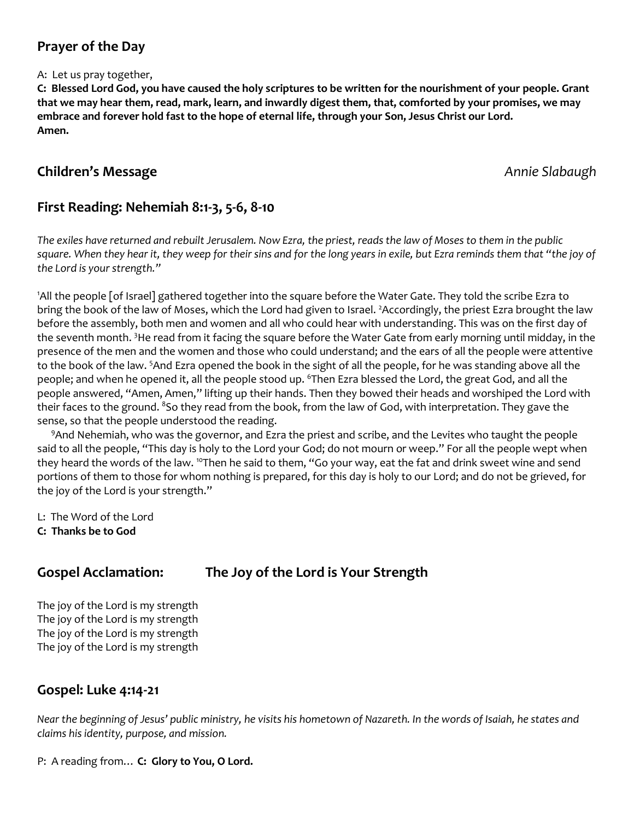### **Prayer of the Day**

#### A: Let us pray together,

**C: Blessed Lord God, you have caused the holy scriptures to be written for the nourishment of your people. Grant that we may hear them, read, mark, learn, and inwardly digest them, that, comforted by your promises, we may embrace and forever hold fast to the hope of eternal life, through your Son, Jesus Christ our Lord. Amen.**

#### **Children's Message** *Annie Slabaugh Annie Slabaugh Annie Slabaugh*

### **First Reading: Nehemiah 8:1-3, 5-6, 8-10**

*The exiles have returned and rebuilt Jerusalem. Now Ezra, the priest, reads the law of Moses to them in the public square. When they hear it, they weep for their sins and for the long years in exile, but Ezra reminds them that "the joy of the Lord is your strength."*

<sup>1</sup>All the people [of Israel] gathered together into the square before the Water Gate. They told the scribe Ezra to bring the book of the law of Moses, which the Lord had given to Israel. <sup>2</sup>Accordingly, the priest Ezra brought the law before the assembly, both men and women and all who could hear with understanding. This was on the first day of the seventh month. <sup>3</sup>He read from it facing the square before the Water Gate from early morning until midday, in the presence of the men and the women and those who could understand; and the ears of all the people were attentive to the book of the law. <sup>5</sup>And Ezra opened the book in the sight of all the people, for he was standing above all the people; and when he opened it, all the people stood up. <sup>6</sup>Then Ezra blessed the Lord, the great God, and all the people answered, "Amen, Amen," lifting up their hands. Then they bowed their heads and worshiped the Lord with their faces to the ground. <sup>8</sup>So they read from the book, from the law of God, with interpretation. They gave the sense, so that the people understood the reading.

<sup>9</sup>And Nehemiah, who was the governor, and Ezra the priest and scribe, and the Levites who taught the people said to all the people, "This day is holy to the Lord your God; do not mourn or weep." For all the people wept when they heard the words of the law. <sup>10</sup>Then he said to them, "Go your way, eat the fat and drink sweet wine and send portions of them to those for whom nothing is prepared, for this day is holy to our Lord; and do not be grieved, for the joy of the Lord is your strength."

L: The Word of the Lord

**C: Thanks be to God**

### **Gospel Acclamation: The Joy of the Lord is Your Strength**

The joy of the Lord is my strength The joy of the Lord is my strength The joy of the Lord is my strength The joy of the Lord is my strength

### **Gospel: Luke 4:14-21**

*Near the beginning of Jesus' public ministry, he visits his hometown of Nazareth. In the words of Isaiah, he states and claims his identity, purpose, and mission.*

P: A reading from… **C: Glory to You, O Lord.**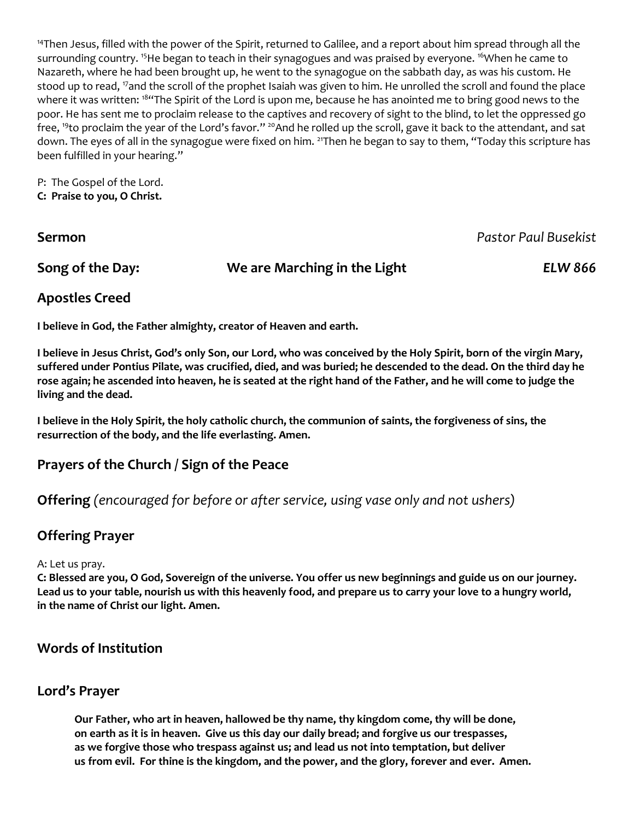<sup>14</sup>Then Jesus, filled with the power of the Spirit, returned to Galilee, and a report about him spread through all the surrounding country. <sup>15</sup>He began to teach in their synagogues and was praised by everyone. <sup>16</sup>When he came to Nazareth, where he had been brought up, he went to the synagogue on the sabbath day, as was his custom. He stood up to read, <sup>17</sup>and the scroll of the prophet Isaiah was given to him. He unrolled the scroll and found the place where it was written: <sup>184</sup>The Spirit of the Lord is upon me, because he has anointed me to bring good news to the poor. He has sent me to proclaim release to the captives and recovery of sight to the blind, to let the oppressed go free, <sup>19</sup>to proclaim the year of the Lord's favor." <sup>20</sup>And he rolled up the scroll, gave it back to the attendant, and sat down. The eyes of all in the synagogue were fixed on him. <sup>21</sup>Then he began to say to them, "Today this scripture has been fulfilled in your hearing."

P: The Gospel of the Lord. **C: Praise to you, O Christ.**

| Sermon           |                              | Pastor Paul Busekist |
|------------------|------------------------------|----------------------|
| Song of the Day: | We are Marching in the Light | <b>ELW 866</b>       |

### **Apostles Creed**

**I believe in God, the Father almighty, creator of Heaven and earth.** 

**I believe in Jesus Christ, God's only Son, our Lord, who was conceived by the Holy Spirit, born of the virgin Mary, suffered under Pontius Pilate, was crucified, died, and was buried; he descended to the dead. On the third day he rose again; he ascended into heaven, he is seated at the right hand of the Father, and he will come to judge the living and the dead.**

**I believe in the Holy Spirit, the holy catholic church, the communion of saints, the forgiveness of sins, the resurrection of the body, and the life everlasting. Amen.**

### **Prayers of the Church / Sign of the Peace**

**Offering** *(encouraged for before or after service, using vase only and not ushers)*

### **Offering Prayer**

#### A: Let us pray.

**C: Blessed are you, O God, Sovereign of the universe. You offer us new beginnings and guide us on our journey. Lead us to your table, nourish us with this heavenly food, and prepare us to carry your love to a hungry world, in the name of Christ our light. Amen.**

#### **Words of Institution**

#### **Lord's Prayer**

**Our Father, who art in heaven, hallowed be thy name, thy kingdom come, thy will be done, on earth as it is in heaven. Give us this day our daily bread; and forgive us our trespasses, as we forgive those who trespass against us; and lead us not into temptation, but deliver us from evil. For thine is the kingdom, and the power, and the glory, forever and ever. Amen.**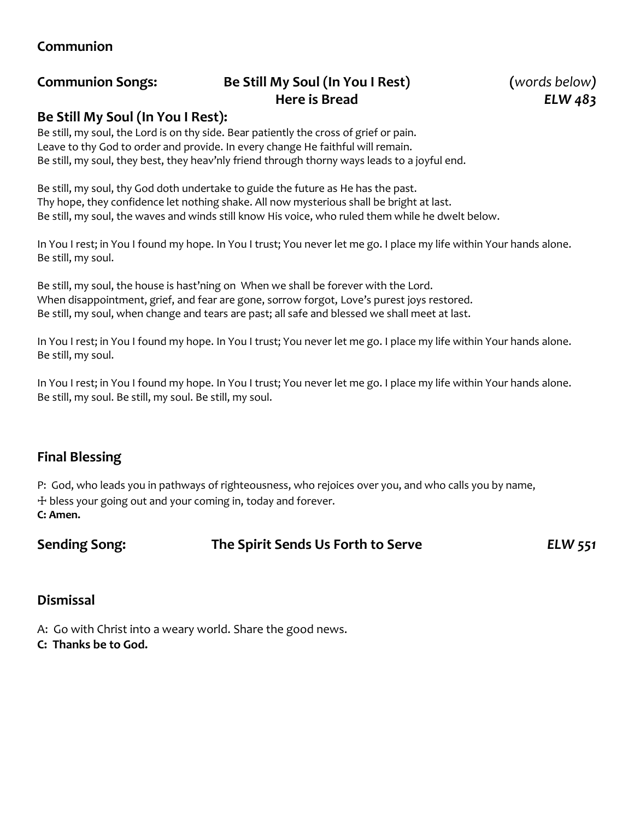### **Communion**

## **Communion Songs: Be Still My Soul (In You I Rest) (***words below)* **Here is Bread** *ELW 483*

#### **Be Still My Soul (In You I Rest):**

Be still, my soul, the Lord is on thy side. Bear patiently the cross of grief or pain. Leave to thy God to order and provide. In every change He faithful will remain. Be still, my soul, they best, they heav'nly friend through thorny ways leads to a joyful end.

Be still, my soul, thy God doth undertake to guide the future as He has the past. Thy hope, they confidence let nothing shake. All now mysterious shall be bright at last. Be still, my soul, the waves and winds still know His voice, who ruled them while he dwelt below.

In You I rest; in You I found my hope. In You I trust; You never let me go. I place my life within Your hands alone. Be still, my soul.

Be still, my soul, the house is hast'ning on When we shall be forever with the Lord. When disappointment, grief, and fear are gone, sorrow forgot, Love's purest joys restored. Be still, my soul, when change and tears are past; all safe and blessed we shall meet at last.

In You I rest; in You I found my hope. In You I trust; You never let me go. I place my life within Your hands alone. Be still, my soul.

In You I rest; in You I found my hope. In You I trust; You never let me go. I place my life within Your hands alone. Be still, my soul. Be still, my soul. Be still, my soul.

### **Final Blessing**

P: God, who leads you in pathways of righteousness, who rejoices over you, and who calls you by name, ☩ bless your going out and your coming in, today and forever. **C: Amen.**

**Sending Song: The Spirit Sends Us Forth to Serve** *ELW 551*

#### **Dismissal**

- A: Go with Christ into a weary world. Share the good news.
- **C: Thanks be to God.**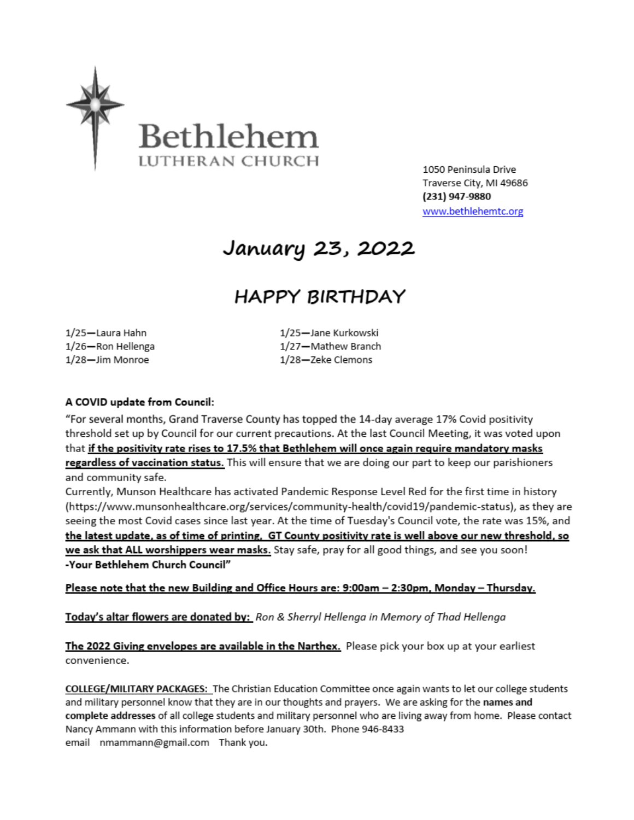

1050 Peninsula Drive Traverse City, MI 49686 (231) 947-9880 www.bethlehemtc.org

# January 23, 2022

# **HAPPY BIRTHDAY**

1/25-Laura Hahn 1/26-Ron Hellenga 1/28-Jim Monroe

1/25-Jane Kurkowski 1/27-Mathew Branch 1/28-Zeke Clemons

#### A COVID update from Council:

"For several months, Grand Traverse County has topped the 14-day average 17% Covid positivity threshold set up by Council for our current precautions. At the last Council Meeting, it was voted upon that if the positivity rate rises to 17.5% that Bethlehem will once again require mandatory masks regardless of vaccination status. This will ensure that we are doing our part to keep our parishioners and community safe.

Currently, Munson Healthcare has activated Pandemic Response Level Red for the first time in history (https://www.munsonhealthcare.org/services/community-health/covid19/pandemic-status), as they are seeing the most Covid cases since last year. At the time of Tuesday's Council vote, the rate was 15%, and the latest update, as of time of printing, GT County positivity rate is well above our new threshold, so we ask that ALL worshippers wear masks. Stay safe, pray for all good things, and see you soon! -Your Bethlehem Church Council"

Please note that the new Building and Office Hours are: 9:00am - 2:30pm, Monday - Thursday.

Today's altar flowers are donated by: Ron & Sherryl Hellenga in Memory of Thad Hellenga

The 2022 Giving envelopes are available in the Narthex. Please pick your box up at your earliest convenience.

COLLEGE/MILITARY PACKAGES: The Christian Education Committee once again wants to let our college students and military personnel know that they are in our thoughts and prayers. We are asking for the names and complete addresses of all college students and military personnel who are living away from home. Please contact Nancy Ammann with this information before January 30th. Phone 946-8433 email nmammann@gmail.com Thank you.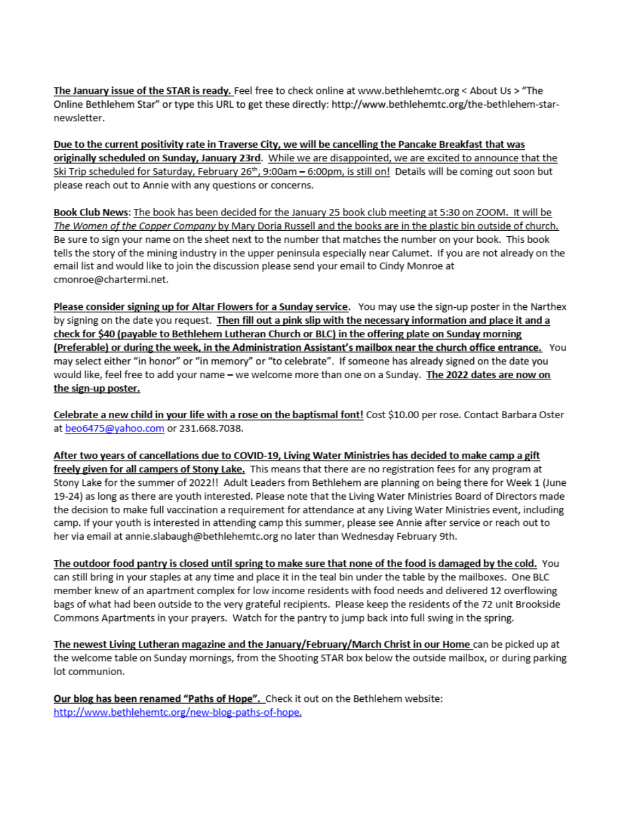The January issue of the STAR is ready. Feel free to check online at www.bethlehemtc.org < About Us > "The Online Bethlehem Star" or type this URL to get these directly: http://www.bethlehemtc.org/the-bethlehem-starnewsletter.

Due to the current positivity rate in Traverse City, we will be cancelling the Pancake Breakfast that was originally scheduled on Sunday, January 23rd. While we are disappointed, we are excited to announce that the Ski Trip scheduled for Saturday, February 26<sup>th</sup>, 9:00am - 6:00pm, is still on! Details will be coming out soon but please reach out to Annie with any questions or concerns.

Book Club News: The book has been decided for the January 25 book club meeting at 5:30 on ZOOM. It will be The Women of the Copper Company by Mary Doria Russell and the books are in the plastic bin outside of church. Be sure to sign your name on the sheet next to the number that matches the number on your book. This book tells the story of the mining industry in the upper peninsula especially near Calumet. If you are not already on the email list and would like to join the discussion please send your email to Cindy Monroe at cmonroe@chartermi.net.

Please consider signing up for Altar Flowers for a Sunday service. You may use the sign-up poster in the Narthex by signing on the date you request. Then fill out a pink slip with the necessary information and place it and a check for \$40 (payable to Bethlehem Lutheran Church or BLC) in the offering plate on Sunday morning (Preferable) or during the week, in the Administration Assistant's mailbox near the church office entrance. You may select either "in honor" or "in memory" or "to celebrate". If someone has already signed on the date you would like, feel free to add your name - we welcome more than one on a Sunday. The 2022 dates are now on the sign-up poster.

Celebrate a new child in your life with a rose on the baptismal font! Cost \$10.00 per rose. Contact Barbara Oster at beo6475@yahoo.com or 231.668.7038.

After two years of cancellations due to COVID-19, Living Water Ministries has decided to make camp a gift freely given for all campers of Stony Lake. This means that there are no registration fees for any program at Stony Lake for the summer of 2022!! Adult Leaders from Bethlehem are planning on being there for Week 1 (June 19-24) as long as there are youth interested. Please note that the Living Water Ministries Board of Directors made the decision to make full vaccination a requirement for attendance at any Living Water Ministries event, including camp. If your youth is interested in attending camp this summer, please see Annie after service or reach out to her via email at annie.slabaugh@bethlehemtc.org no later than Wednesday February 9th.

The outdoor food pantry is closed until spring to make sure that none of the food is damaged by the cold. You can still bring in your staples at any time and place it in the teal bin under the table by the mailboxes. One BLC member knew of an apartment complex for low income residents with food needs and delivered 12 overflowing bags of what had been outside to the very grateful recipients. Please keep the residents of the 72 unit Brookside Commons Apartments in your prayers. Watch for the pantry to jump back into full swing in the spring.

The newest Living Lutheran magazine and the January/February/March Christ in our Home can be picked up at the welcome table on Sunday mornings, from the Shooting STAR box below the outside mailbox, or during parking lot communion.

Our blog has been renamed "Paths of Hope". Check it out on the Bethlehem website: http://www.bethlehemtc.org/new-blog-paths-of-hope.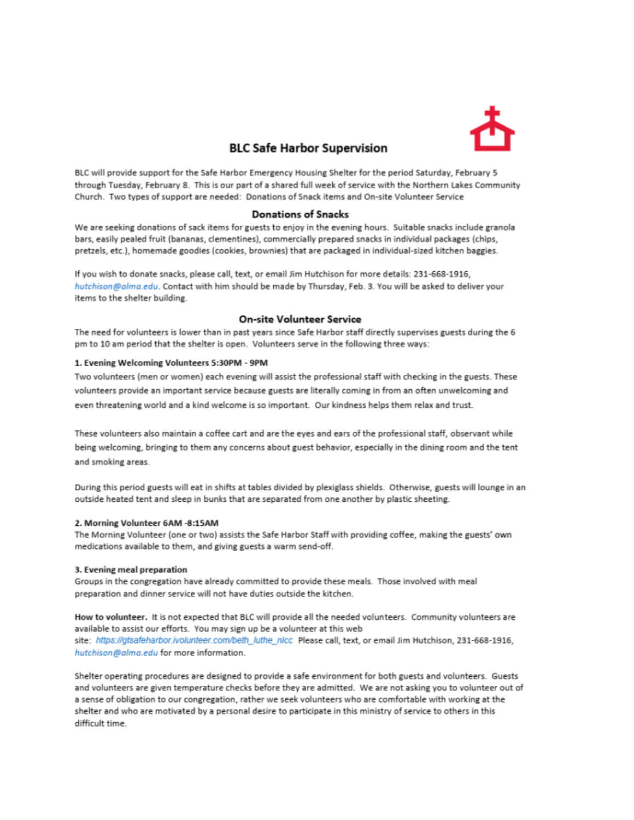

#### **BLC Safe Harbor Supervision**

BLC will provide support for the Safe Harbor Emergency Housing Shelter for the period Saturday, February 5 through Tuesday, February 8. This is our part of a shared full week of service with the Northern Lakes Community Church. Two types of support are needed: Donations of Snack items and On-site Volunteer Service

#### **Donations of Snacks**

We are seeking donations of sack items for guests to enjoy in the evening hours. Suitable snacks include granola bars, easily pealed fruit (bananas, clementines), commercially prepared snacks in individual packages (chips, pretzels, etc.), homemade goodies (cookies, brownies) that are packaged in individual-sized kitchen baggies.

If you wish to donate snacks, please call, text, or email Jim Hutchison for more details: 231-668-1916, hutchison@alma.edu. Contact with him should be made by Thursday, Feb. 3. You will be asked to deliver your items to the shelter building.

#### **On-site Volunteer Service**

The need for volunteers is lower than in past years since Safe Harbor staff directly supervises guests during the 6 pm to 10 am period that the shelter is open. Volunteers serve in the following three ways:

#### 1. Evening Welcoming Volunteers 5:30PM - 9PM

Two volunteers (men or women) each evening will assist the professional staff with checking in the guests. These volunteers provide an important service because guests are literally coming in from an often unwelcoming and even threatening world and a kind welcome is so important. Our kindness helps them relax and trust.

These volunteers also maintain a coffee cart and are the eyes and ears of the professional staff, observant while being welcoming, bringing to them any concerns about guest behavior, especially in the dining room and the tent and smoking areas.

During this period guests will eat in shifts at tables divided by plexiglass shields. Otherwise, guests will lounge in an outside heated tent and sleep in bunks that are separated from one another by plastic sheeting.

#### 2. Morning Volunteer 6AM -8:15AM

The Morning Volunteer (one or two) assists the Safe Harbor Staff with providing coffee, making the guests' own medications available to them, and giving guests a warm send-off.

#### 3. Evening meal preparation

Groups in the congregation have already committed to provide these meals. Those involved with meal preparation and dinner service will not have duties outside the kitchen.

How to volunteer. It is not expected that BLC will provide all the needed volunteers. Community volunteers are available to assist our efforts. You may sign up be a volunteer at this web site: https://gtsafeharbor.ivolunteer.com/beth\_luthe\_nlcc Please call, text, or email Jim Hutchison, 231-668-1916, hutchison@alma.edu for more information.

Shelter operating procedures are designed to provide a safe environment for both guests and volunteers. Guests and volunteers are given temperature checks before they are admitted. We are not asking you to volunteer out of a sense of obligation to our congregation, rather we seek volunteers who are comfortable with working at the shelter and who are motivated by a personal desire to participate in this ministry of service to others in this difficult time.